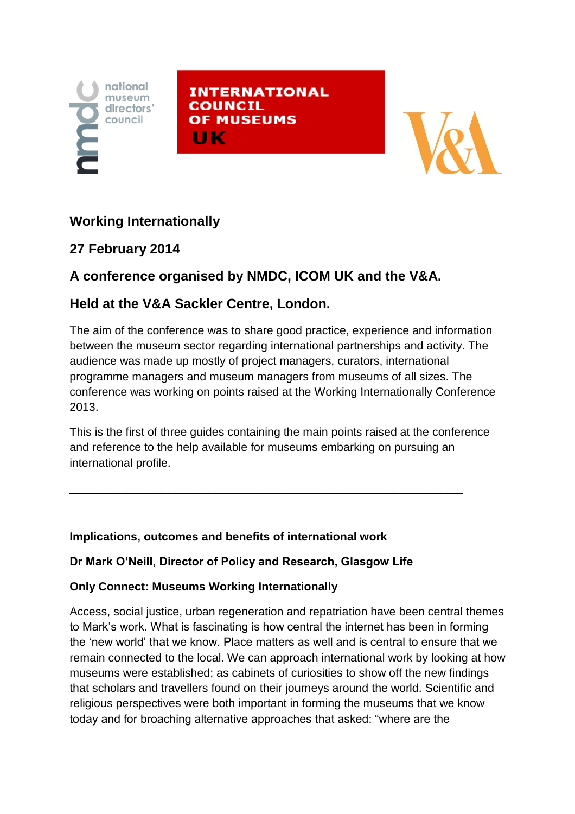

**INTERNATIONAL COUNCIL OF MUSEUMS** ШΚ



## **Working Internationally**

## **27 February 2014**

# **A conference organised by NMDC, ICOM UK and the V&A.**

## **Held at the V&A Sackler Centre, London.**

The aim of the conference was to share good practice, experience and information between the museum sector regarding international partnerships and activity. The audience was made up mostly of project managers, curators, international programme managers and museum managers from museums of all sizes. The conference was working on points raised at the Working Internationally Conference 2013.

This is the first of three guides containing the main points raised at the conference and reference to the help available for museums embarking on pursuing an international profile.

\_\_\_\_\_\_\_\_\_\_\_\_\_\_\_\_\_\_\_\_\_\_\_\_\_\_\_\_\_\_\_\_\_\_\_\_\_\_\_\_\_\_\_\_\_\_\_\_\_\_\_\_\_\_\_\_\_\_\_\_\_

#### **Implications, outcomes and benefits of international work**

#### **Dr Mark O'Neill, Director of Policy and Research, Glasgow Life**

### **Only Connect: Museums Working Internationally**

Access, social justice, urban regeneration and repatriation have been central themes to Mark's work. What is fascinating is how central the internet has been in forming the 'new world' that we know. Place matters as well and is central to ensure that we remain connected to the local. We can approach international work by looking at how museums were established; as cabinets of curiosities to show off the new findings that scholars and travellers found on their journeys around the world. Scientific and religious perspectives were both important in forming the museums that we know today and for broaching alternative approaches that asked: "where are the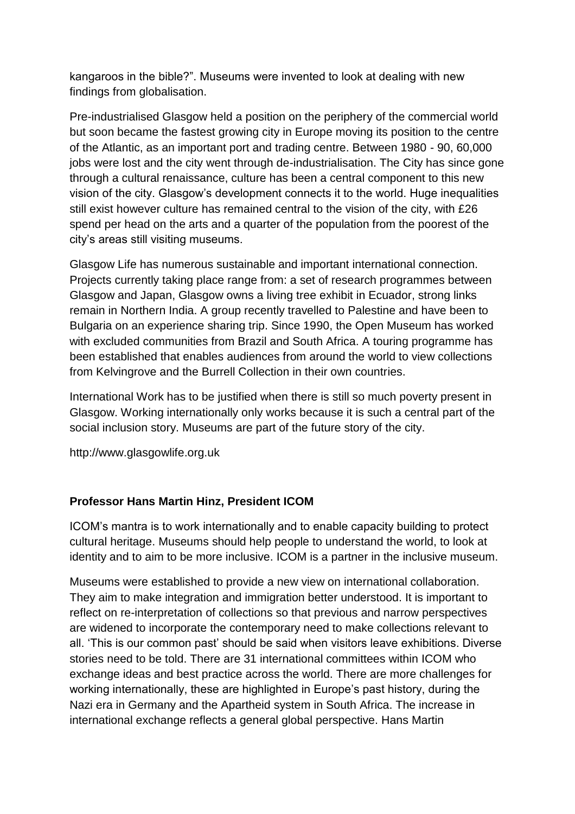kangaroos in the bible?". Museums were invented to look at dealing with new findings from globalisation.

Pre-industrialised Glasgow held a position on the periphery of the commercial world but soon became the fastest growing city in Europe moving its position to the centre of the Atlantic, as an important port and trading centre. Between 1980 - 90, 60,000 jobs were lost and the city went through de-industrialisation. The City has since gone through a cultural renaissance, culture has been a central component to this new vision of the city. Glasgow's development connects it to the world. Huge inequalities still exist however culture has remained central to the vision of the city, with £26 spend per head on the arts and a quarter of the population from the poorest of the city's areas still visiting museums.

Glasgow Life has numerous sustainable and important international connection. Projects currently taking place range from: a set of research programmes between Glasgow and Japan, Glasgow owns a living tree exhibit in Ecuador, strong links remain in Northern India. A group recently travelled to Palestine and have been to Bulgaria on an experience sharing trip. Since 1990, the Open Museum has worked with excluded communities from Brazil and South Africa. A touring programme has been established that enables audiences from around the world to view collections from Kelvingrove and the Burrell Collection in their own countries.

International Work has to be justified when there is still so much poverty present in Glasgow. Working internationally only works because it is such a central part of the social inclusion story. Museums are part of the future story of the city.

http://www.glasgowlife.org.uk

#### **Professor Hans Martin Hinz, President ICOM**

ICOM's mantra is to work internationally and to enable capacity building to protect cultural heritage. Museums should help people to understand the world, to look at identity and to aim to be more inclusive. ICOM is a partner in the inclusive museum.

Museums were established to provide a new view on international collaboration. They aim to make integration and immigration better understood. It is important to reflect on re-interpretation of collections so that previous and narrow perspectives are widened to incorporate the contemporary need to make collections relevant to all. 'This is our common past' should be said when visitors leave exhibitions. Diverse stories need to be told. There are 31 international committees within ICOM who exchange ideas and best practice across the world. There are more challenges for working internationally, these are highlighted in Europe's past history, during the Nazi era in Germany and the Apartheid system in South Africa. The increase in international exchange reflects a general global perspective. Hans Martin